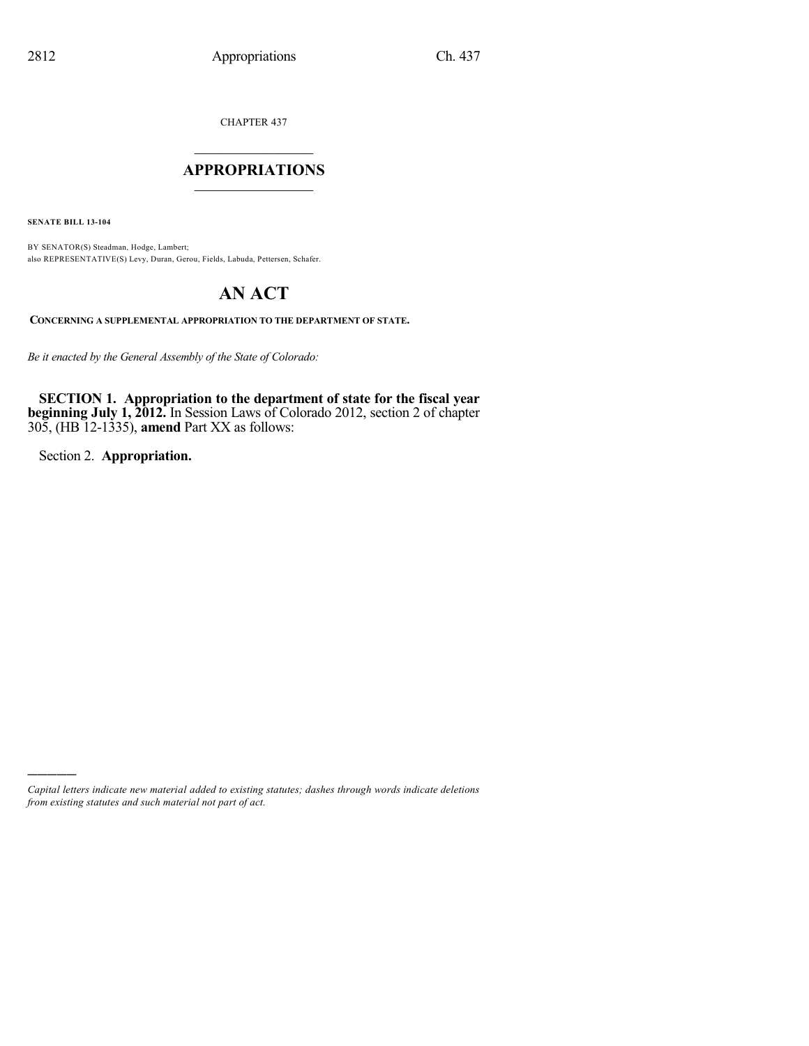CHAPTER 437

### $\mathcal{L}_\text{max}$  . The set of the set of the set of the set of the set of the set of the set of the set of the set of the set of the set of the set of the set of the set of the set of the set of the set of the set of the set **APPROPRIATIONS**  $\_$   $\_$   $\_$   $\_$   $\_$   $\_$   $\_$   $\_$

**SENATE BILL 13-104**

BY SENATOR(S) Steadman, Hodge, Lambert; also REPRESENTATIVE(S) Levy, Duran, Gerou, Fields, Labuda, Pettersen, Schafer.

# **AN ACT**

**CONCERNING A SUPPLEMENTAL APPROPRIATION TO THE DEPARTMENT OF STATE.**

*Be it enacted by the General Assembly of the State of Colorado:*

**SECTION 1. Appropriation to the department of state for the fiscal year beginning July 1, 2012.** In Session Laws of Colorado 2012, section 2 of chapter 305, (HB 12-1335), **amend** Part XX as follows:

Section 2. **Appropriation.**

)))))

*Capital letters indicate new material added to existing statutes; dashes through words indicate deletions from existing statutes and such material not part of act.*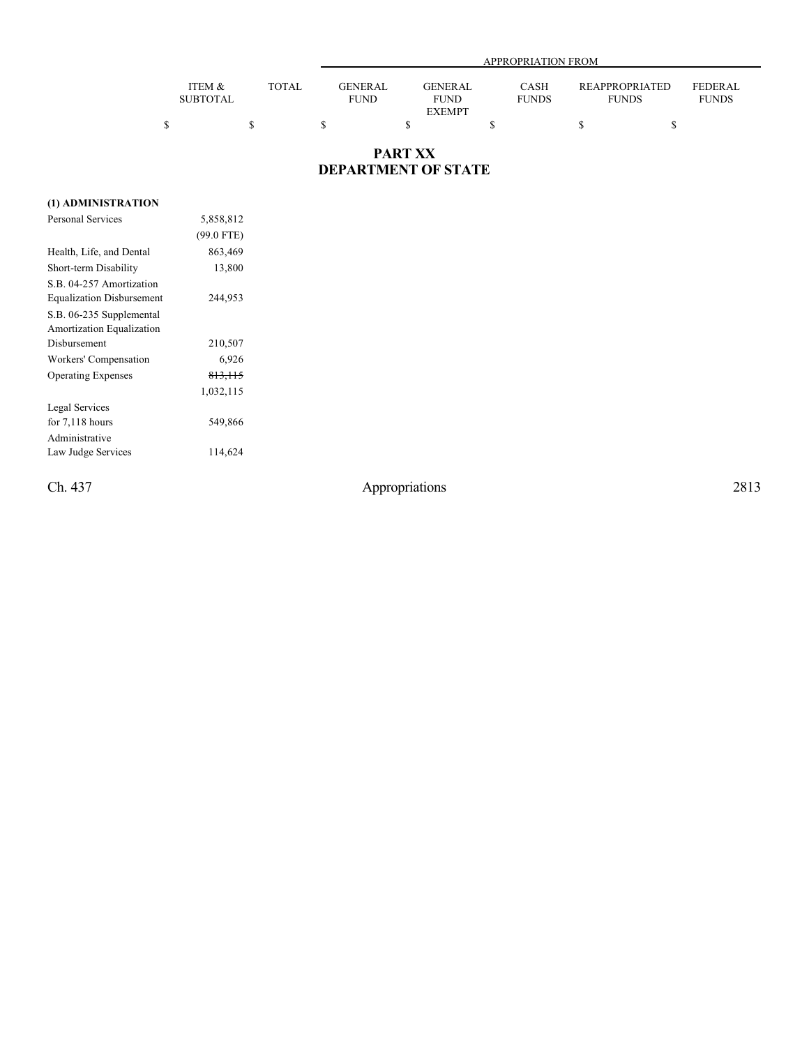|                 |       |             | APPROPRIATION FROM |                               |  |                                         |  |  |  |  |  |
|-----------------|-------|-------------|--------------------|-------------------------------|--|-----------------------------------------|--|--|--|--|--|
|                 |       |             |                    |                               |  |                                         |  |  |  |  |  |
| ITEM &          | TOTAL |             | <b>GENERAL</b>     | <b>GENERAL</b><br><b>CASH</b> |  | <b>REAPPROPRIATED</b><br><b>FEDERAL</b> |  |  |  |  |  |
| <b>SUBTOTAL</b> |       | <b>FUND</b> |                    | <b>FUNDS</b><br><b>FUND</b>   |  | <b>FUNDS</b><br><b>FUNDS</b>            |  |  |  |  |  |
|                 |       |             |                    | <b>EXEMPT</b>                 |  |                                         |  |  |  |  |  |
|                 |       |             |                    |                               |  |                                         |  |  |  |  |  |

### **PART XX DEPARTMENT OF STATE**

#### **(1) ADMINISTRATION**

| 5,858,812    |  |
|--------------|--|
| $(99.0$ FTE) |  |
| 863,469      |  |
| 13,800       |  |
|              |  |
| 244,953      |  |
|              |  |
|              |  |
| 210,507      |  |
| 6,926        |  |
| 813, 115     |  |
| 1,032,115    |  |
|              |  |
| 549,866      |  |
|              |  |
| 114,624      |  |
|              |  |

Ch. 437 Appropriations 2813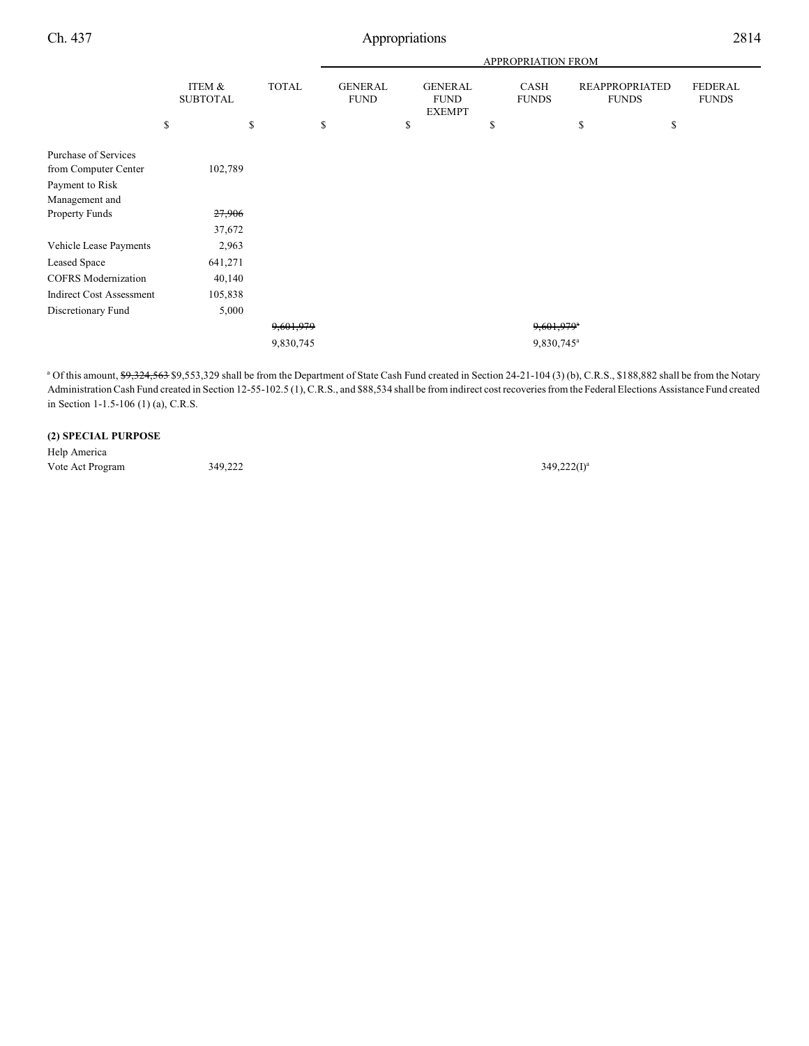Ch. 437 Appropriations 2814

|                                 |    |                           |           | APPROPRIATION FROM            |  |                                                |  |                             |                          |                                       |  |                                |
|---------------------------------|----|---------------------------|-----------|-------------------------------|--|------------------------------------------------|--|-----------------------------|--------------------------|---------------------------------------|--|--------------------------------|
|                                 |    | ITEM &<br><b>SUBTOTAL</b> |           | <b>GENERAL</b><br><b>FUND</b> |  | <b>GENERAL</b><br><b>FUND</b><br><b>EXEMPT</b> |  | <b>CASH</b><br><b>FUNDS</b> |                          | <b>REAPPROPRIATED</b><br><b>FUNDS</b> |  | <b>FEDERAL</b><br><b>FUNDS</b> |
|                                 | \$ | \$                        |           | \$                            |  | \$                                             |  | \$                          |                          | \$                                    |  | \$                             |
| Purchase of Services            |    |                           |           |                               |  |                                                |  |                             |                          |                                       |  |                                |
| from Computer Center            |    | 102,789                   |           |                               |  |                                                |  |                             |                          |                                       |  |                                |
| Payment to Risk                 |    |                           |           |                               |  |                                                |  |                             |                          |                                       |  |                                |
| Management and                  |    |                           |           |                               |  |                                                |  |                             |                          |                                       |  |                                |
| <b>Property Funds</b>           |    | 27,906                    |           |                               |  |                                                |  |                             |                          |                                       |  |                                |
|                                 |    | 37,672                    |           |                               |  |                                                |  |                             |                          |                                       |  |                                |
| Vehicle Lease Payments          |    | 2,963                     |           |                               |  |                                                |  |                             |                          |                                       |  |                                |
| <b>Leased Space</b>             |    | 641,271                   |           |                               |  |                                                |  |                             |                          |                                       |  |                                |
| <b>COFRS</b> Modernization      |    | 40,140                    |           |                               |  |                                                |  |                             |                          |                                       |  |                                |
| <b>Indirect Cost Assessment</b> |    | 105,838                   |           |                               |  |                                                |  |                             |                          |                                       |  |                                |
| Discretionary Fund              |    | 5,000                     |           |                               |  |                                                |  |                             |                          |                                       |  |                                |
|                                 |    |                           | 9,601,979 |                               |  |                                                |  |                             | $9,601,979$ <sup>a</sup> |                                       |  |                                |
|                                 |    |                           | 9,830,745 |                               |  |                                                |  |                             | 9,830,745 <sup>a</sup>   |                                       |  |                                |

<sup>a</sup> Of this amount, \$9,324,563 \$9,553,329 shall be from the Department of State Cash Fund created in Section 24-21-104 (3) (b), C.R.S., \$188,882 shall be from the Notary Administration Cash Fund created in Section 12-55-102.5 (1), C.R.S., and \$88,534 shall be from indirect cost recoveries from the Federal Elections Assistance Fund created in Section 1-1.5-106 (1) (a), C.R.S.

#### **(2) SPECIAL PURPOSE**

Help America Vote Act Program 349,222

 $349,222(I)^a$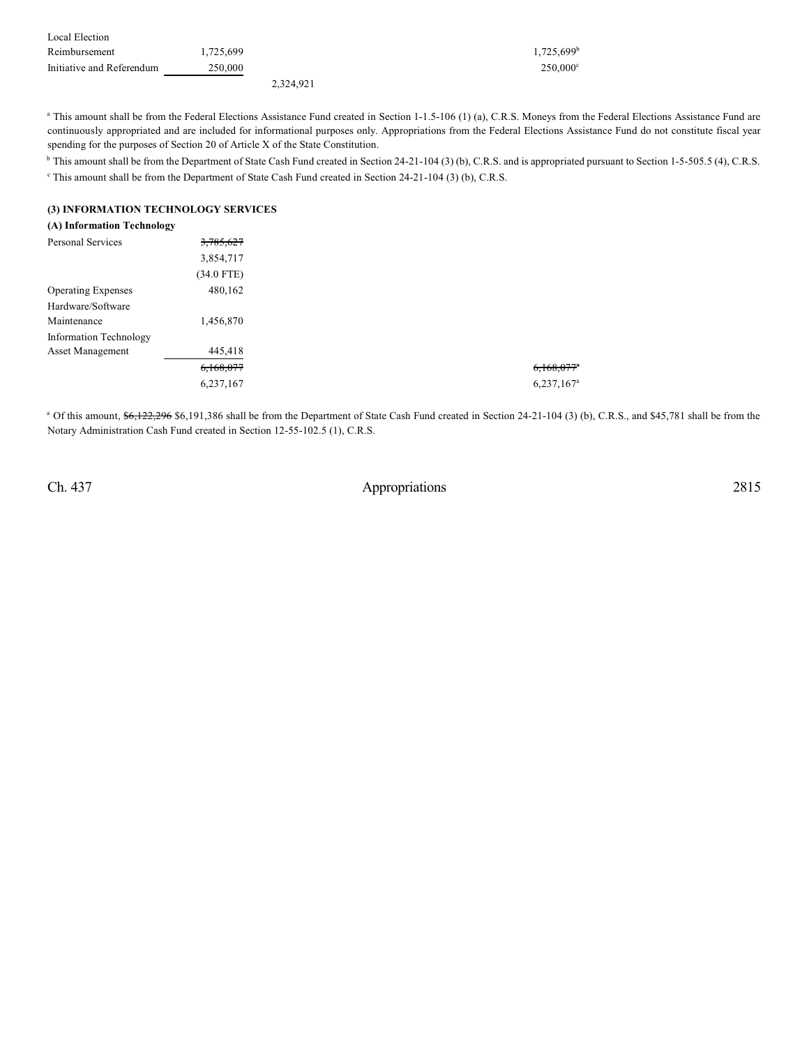| Local Election            |           |           |                          |
|---------------------------|-----------|-----------|--------------------------|
| Reimbursement             | 1.725.699 |           | $1,725,699$ <sup>b</sup> |
| Initiative and Referendum | 250,000   |           | $250.000^{\circ}$        |
|                           |           | 2.324.921 |                          |

<sup>a</sup> This amount shall be from the Federal Elections Assistance Fund created in Section 1-1.5-106 (1) (a), C.R.S. Moneys from the Federal Elections Assistance Fund are continuously appropriated and are included for informational purposes only. Appropriations from the Federal Elections Assistance Fund do not constitute fiscal year spending for the purposes of Section 20 of Article X of the State Constitution.

<sup>b</sup> This amount shall be from the Department of State Cash Fund created in Section 24-21-104 (3) (b), C.R.S. and is appropriated pursuant to Section 1-5-505.5 (4), C.R.S.

<sup>c</sup> This amount shall be from the Department of State Cash Fund created in Section 24-21-104 (3) (b), C.R.S.

#### **(3) INFORMATION TECHNOLOGY SERVICES**

| (A) Information Technology |            |
|----------------------------|------------|
|                            | 3,785,627  |
|                            | 3,854,717  |
|                            | (34.0 FTE) |
| <b>Operating Expenses</b>  | 480,162    |
| Hardware/Software          |            |
|                            | 1,456,870  |
| Information Technology     |            |
| <b>Asset Management</b>    | 445,418    |
|                            | 6,168,077  |
|                            | 6,237,167  |
|                            |            |

<sup>a</sup> Of this amount, \$6,122,296 \$6,191,386 shall be from the Department of State Cash Fund created in Section 24-21-104 (3) (b), C.R.S., and \$45,781 shall be from the Notary Administration Cash Fund created in Section 12-55-102.5 (1), C.R.S.

Ch. 437 Appropriations 2815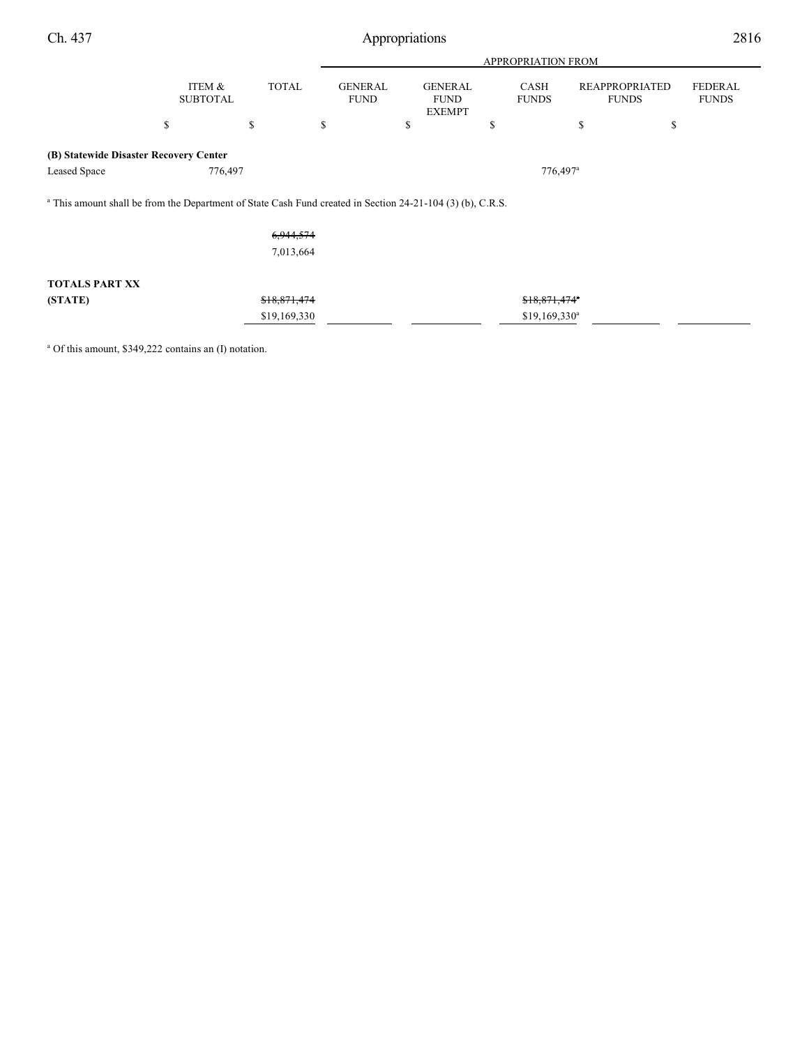Ch. 437 Appropriations 2816

|                                                                                                                       |                           |              | <b>APPROPRIATION FROM</b>     |                                                |                        |                      |                                       |                         |  |  |  |
|-----------------------------------------------------------------------------------------------------------------------|---------------------------|--------------|-------------------------------|------------------------------------------------|------------------------|----------------------|---------------------------------------|-------------------------|--|--|--|
|                                                                                                                       | ITEM &<br><b>SUBTOTAL</b> | <b>TOTAL</b> | <b>GENERAL</b><br><b>FUND</b> | <b>GENERAL</b><br><b>FUND</b><br><b>EXEMPT</b> |                        | CASH<br><b>FUNDS</b> | <b>REAPPROPRIATED</b><br><b>FUNDS</b> | FEDERAL<br><b>FUNDS</b> |  |  |  |
|                                                                                                                       | \$                        | \$           | \$                            | \$                                             | \$                     |                      | \$<br>\$                              |                         |  |  |  |
| (B) Statewide Disaster Recovery Center                                                                                |                           |              |                               |                                                |                        |                      |                                       |                         |  |  |  |
| Leased Space                                                                                                          | 776,497                   |              |                               |                                                | $776,497$ <sup>a</sup> |                      |                                       |                         |  |  |  |
| <sup>a</sup> This amount shall be from the Department of State Cash Fund created in Section 24-21-104 (3) (b), C.R.S. |                           |              |                               |                                                |                        |                      |                                       |                         |  |  |  |
|                                                                                                                       |                           | 6,944,574    |                               |                                                |                        |                      |                                       |                         |  |  |  |
|                                                                                                                       |                           | 7,013,664    |                               |                                                |                        |                      |                                       |                         |  |  |  |
| <b>TOTALS PART XX</b>                                                                                                 |                           |              |                               |                                                |                        |                      |                                       |                         |  |  |  |
| (STATE)                                                                                                               |                           | \$18,871,474 |                               |                                                |                        | \$18,871,474"        |                                       |                         |  |  |  |
|                                                                                                                       |                           | \$19,169,330 |                               |                                                |                        | $$19,169,330^a$      |                                       |                         |  |  |  |

<sup>a</sup> Of this amount, \$349,222 contains an (I) notation.

j.